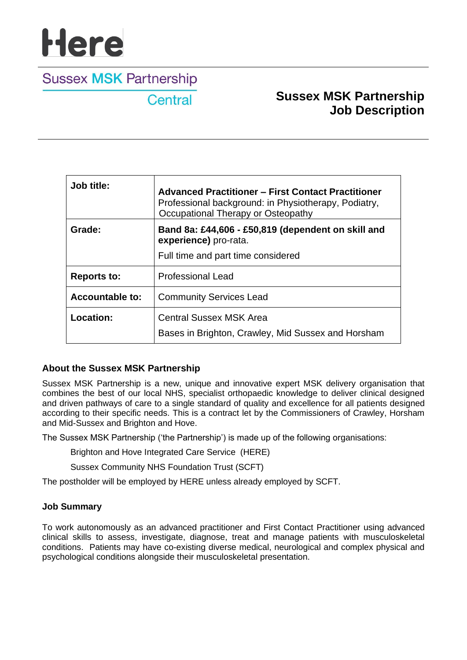# **Here**

# **Sussex MSK Partnership**

Central

# **Sussex MSK Partnership Job Description**

| Job title:             | <b>Advanced Practitioner - First Contact Practitioner</b><br>Professional background: in Physiotherapy, Podiatry,<br>Occupational Therapy or Osteopathy |
|------------------------|---------------------------------------------------------------------------------------------------------------------------------------------------------|
| Grade:                 | Band 8a: £44,606 - £50,819 (dependent on skill and<br>experience) pro-rata.                                                                             |
|                        | Full time and part time considered                                                                                                                      |
| <b>Reports to:</b>     | <b>Professional Lead</b>                                                                                                                                |
| <b>Accountable to:</b> | <b>Community Services Lead</b>                                                                                                                          |
| Location:              | <b>Central Sussex MSK Area</b>                                                                                                                          |
|                        | Bases in Brighton, Crawley, Mid Sussex and Horsham                                                                                                      |

# **About the Sussex MSK Partnership**

Sussex MSK Partnership is a new, unique and innovative expert MSK delivery organisation that combines the best of our local NHS, specialist orthopaedic knowledge to deliver clinical designed and driven pathways of care to a single standard of quality and excellence for all patients designed according to their specific needs. This is a contract let by the Commissioners of Crawley, Horsham and Mid-Sussex and Brighton and Hove.

The Sussex MSK Partnership ('the Partnership') is made up of the following organisations:

Brighton and Hove Integrated Care Service (HERE)

Sussex Community NHS Foundation Trust (SCFT)

The postholder will be employed by HERE unless already employed by SCFT.

### **Job Summary**

To work autonomously as an advanced practitioner and First Contact Practitioner using advanced clinical skills to assess, investigate, diagnose, treat and manage patients with musculoskeletal conditions. Patients may have co-existing diverse medical, neurological and complex physical and psychological conditions alongside their musculoskeletal presentation.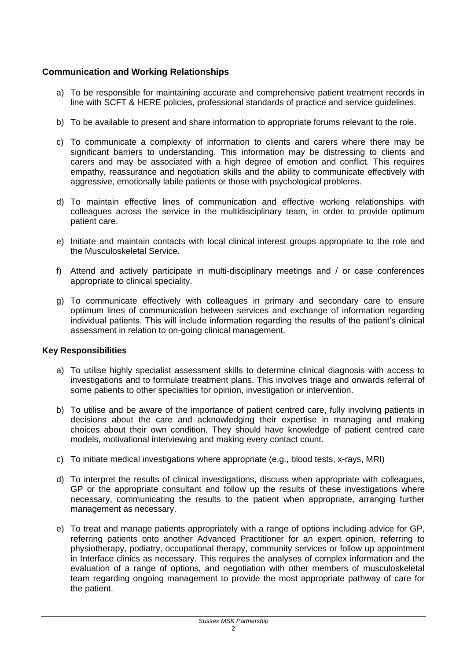# **Communication and Working Relationships**

- a) To be responsible for maintaining accurate and comprehensive patient treatment records in line with SCFT & HERE policies, professional standards of practice and service guidelines.
- b) To be available to present and share information to appropriate forums relevant to the role.
- c) To communicate a complexity of information to clients and carers where there may be significant barriers to understanding. This information may be distressing to clients and carers and may be associated with a high degree of emotion and conflict. This requires empathy, reassurance and negotiation skills and the ability to communicate effectively with aggressive, emotionally labile patients or those with psychological problems.
- d) To maintain effective lines of communication and effective working relationships with colleagues across the service in the multidisciplinary team, in order to provide optimum patient care.
- e) Initiate and maintain contacts with local clinical interest groups appropriate to the role and the Musculoskeletal Service.
- f) Attend and actively participate in multi-disciplinary meetings and / or case conferences appropriate to clinical speciality.
- g) To communicate effectively with colleagues in primary and secondary care to ensure optimum lines of communication between services and exchange of information regarding individual patients. This will include information regarding the results of the patient's clinical assessment in relation to on-going clinical management.

#### **Key Responsibilities**

- a) To utilise highly specialist assessment skills to determine clinical diagnosis with access to investigations and to formulate treatment plans. This involves triage and onwards referral of some patients to other specialties for opinion, investigation or intervention.
- b) To utilise and be aware of the importance of patient centred care, fully involving patients in decisions about the care and acknowledging their expertise in managing and making choices about their own condition. They should have knowledge of patient centred care models, motivational interviewing and making every contact count.
- c) To initiate medical investigations where appropriate (e.g., blood tests, x-rays, MRI)
- d) To interpret the results of clinical investigations, discuss when appropriate with colleagues, GP or the appropriate consultant and follow up the results of these investigations where necessary, communicating the results to the patient when appropriate, arranging further management as necessary.
- e) To treat and manage patients appropriately with a range of options including advice for GP, referring patients onto another Advanced Practitioner for an expert opinion, referring to physiotherapy, podiatry, occupational therapy, community services or follow up appointment in Interface clinics as necessary. This requires the analyses of complex information and the evaluation of a range of options, and negotiation with other members of musculoskeletal team regarding ongoing management to provide the most appropriate pathway of care for the patient.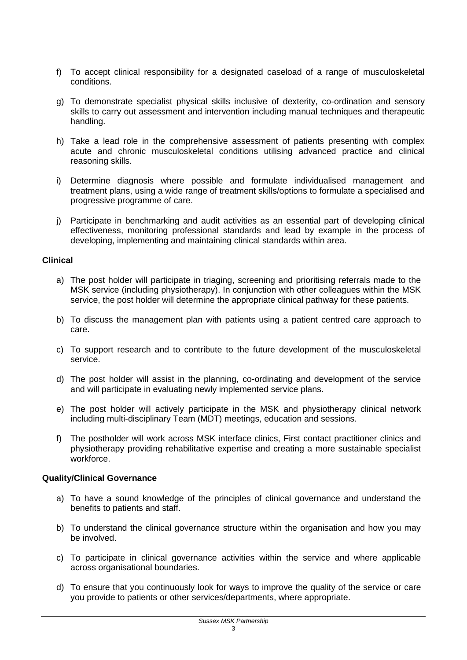- f) To accept clinical responsibility for a designated caseload of a range of musculoskeletal conditions.
- g) To demonstrate specialist physical skills inclusive of dexterity, co-ordination and sensory skills to carry out assessment and intervention including manual techniques and therapeutic handling.
- h) Take a lead role in the comprehensive assessment of patients presenting with complex acute and chronic musculoskeletal conditions utilising advanced practice and clinical reasoning skills.
- i) Determine diagnosis where possible and formulate individualised management and treatment plans, using a wide range of treatment skills/options to formulate a specialised and progressive programme of care.
- j) Participate in benchmarking and audit activities as an essential part of developing clinical effectiveness, monitoring professional standards and lead by example in the process of developing, implementing and maintaining clinical standards within area.

#### **Clinical**

- a) The post holder will participate in triaging, screening and prioritising referrals made to the MSK service (including physiotherapy). In conjunction with other colleagues within the MSK service, the post holder will determine the appropriate clinical pathway for these patients.
- b) To discuss the management plan with patients using a patient centred care approach to care.
- c) To support research and to contribute to the future development of the musculoskeletal service.
- d) The post holder will assist in the planning, co-ordinating and development of the service and will participate in evaluating newly implemented service plans.
- e) The post holder will actively participate in the MSK and physiotherapy clinical network including multi-disciplinary Team (MDT) meetings, education and sessions.
- f) The postholder will work across MSK interface clinics, First contact practitioner clinics and physiotherapy providing rehabilitative expertise and creating a more sustainable specialist workforce.

#### **Quality/Clinical Governance**

- a) To have a sound knowledge of the principles of clinical governance and understand the benefits to patients and staff.
- b) To understand the clinical governance structure within the organisation and how you may be involved.
- c) To participate in clinical governance activities within the service and where applicable across organisational boundaries.
- d) To ensure that you continuously look for ways to improve the quality of the service or care you provide to patients or other services/departments, where appropriate.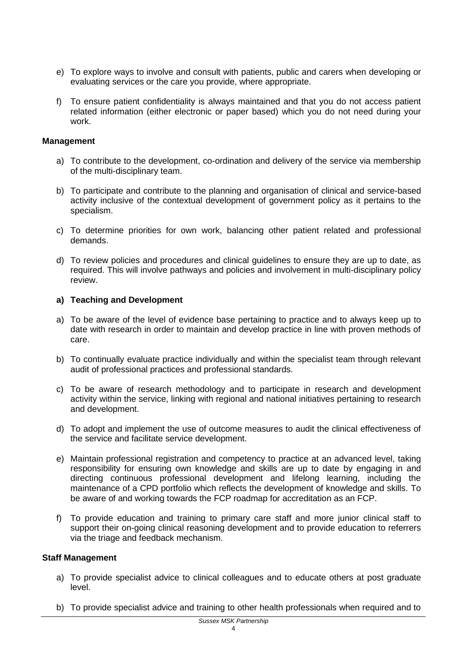- e) To explore ways to involve and consult with patients, public and carers when developing or evaluating services or the care you provide, where appropriate.
- f) To ensure patient confidentiality is always maintained and that you do not access patient related information (either electronic or paper based) which you do not need during your work.

#### **Management**

- a) To contribute to the development, co-ordination and delivery of the service via membership of the multi-disciplinary team.
- b) To participate and contribute to the planning and organisation of clinical and service-based activity inclusive of the contextual development of government policy as it pertains to the specialism.
- c) To determine priorities for own work, balancing other patient related and professional demands.
- d) To review policies and procedures and clinical guidelines to ensure they are up to date, as required. This will involve pathways and policies and involvement in multi-disciplinary policy review.

#### **a) Teaching and Development**

- a) To be aware of the level of evidence base pertaining to practice and to always keep up to date with research in order to maintain and develop practice in line with proven methods of care.
- b) To continually evaluate practice individually and within the specialist team through relevant audit of professional practices and professional standards.
- c) To be aware of research methodology and to participate in research and development activity within the service, linking with regional and national initiatives pertaining to research and development.
- d) To adopt and implement the use of outcome measures to audit the clinical effectiveness of the service and facilitate service development.
- e) Maintain professional registration and competency to practice at an advanced level, taking responsibility for ensuring own knowledge and skills are up to date by engaging in and directing continuous professional development and lifelong learning, including the maintenance of a CPD portfolio which reflects the development of knowledge and skills. To be aware of and working towards the FCP roadmap for accreditation as an FCP.
- f) To provide education and training to primary care staff and more junior clinical staff to support their on-going clinical reasoning development and to provide education to referrers via the triage and feedback mechanism.

#### **Staff Management**

- a) To provide specialist advice to clinical colleagues and to educate others at post graduate level.
- b) To provide specialist advice and training to other health professionals when required and to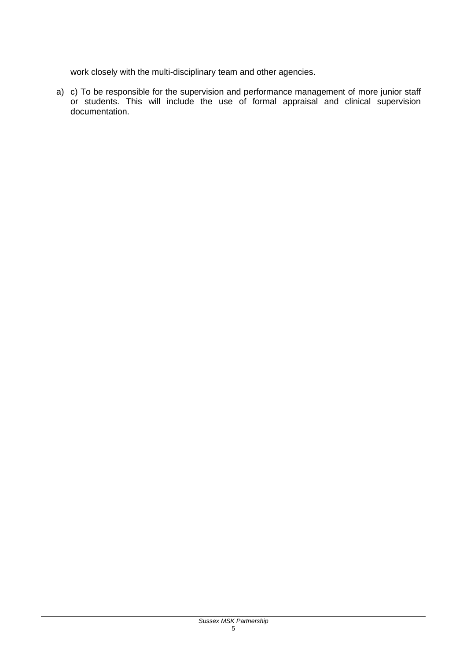work closely with the multi-disciplinary team and other agencies.

a) c) To be responsible for the supervision and performance management of more junior staff or students. This will include the use of formal appraisal and clinical supervision documentation.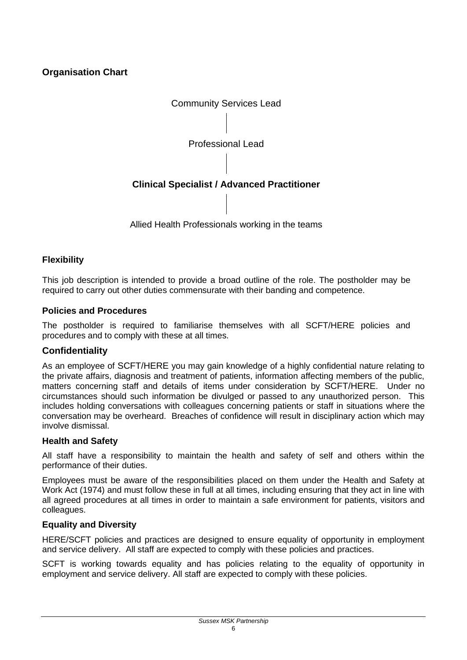# **Organisation Chart**



# **Flexibility**

This job description is intended to provide a broad outline of the role. The postholder may be required to carry out other duties commensurate with their banding and competence.

#### **Policies and Procedures**

The postholder is required to familiarise themselves with all SCFT/HERE policies and procedures and to comply with these at all times.

### **Confidentiality**

As an employee of SCFT/HERE you may gain knowledge of a highly confidential nature relating to the private affairs, diagnosis and treatment of patients, information affecting members of the public, matters concerning staff and details of items under consideration by SCFT/HERE. Under no circumstances should such information be divulged or passed to any unauthorized person. This includes holding conversations with colleagues concerning patients or staff in situations where the conversation may be overheard. Breaches of confidence will result in disciplinary action which may involve dismissal.

#### **Health and Safety**

All staff have a responsibility to maintain the health and safety of self and others within the performance of their duties.

Employees must be aware of the responsibilities placed on them under the Health and Safety at Work Act (1974) and must follow these in full at all times, including ensuring that they act in line with all agreed procedures at all times in order to maintain a safe environment for patients, visitors and colleagues.

### **Equality and Diversity**

HERE/SCFT policies and practices are designed to ensure equality of opportunity in employment and service delivery. All staff are expected to comply with these policies and practices.

SCFT is working towards equality and has policies relating to the equality of opportunity in employment and service delivery. All staff are expected to comply with these policies.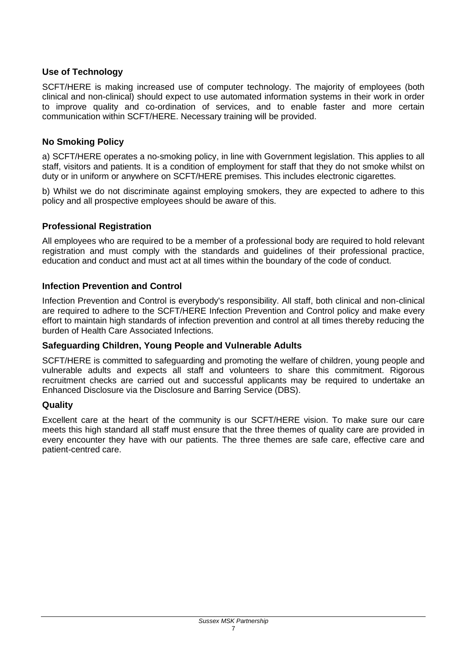# **Use of Technology**

SCFT/HERE is making increased use of computer technology. The majority of employees (both clinical and non-clinical) should expect to use automated information systems in their work in order to improve quality and co-ordination of services, and to enable faster and more certain communication within SCFT/HERE. Necessary training will be provided.

# **No Smoking Policy**

a) SCFT/HERE operates a no-smoking policy, in line with Government legislation. This applies to all staff, visitors and patients. It is a condition of employment for staff that they do not smoke whilst on duty or in uniform or anywhere on SCFT/HERE premises. This includes electronic cigarettes.

b) Whilst we do not discriminate against employing smokers, they are expected to adhere to this policy and all prospective employees should be aware of this.

### **Professional Registration**

All employees who are required to be a member of a professional body are required to hold relevant registration and must comply with the standards and guidelines of their professional practice, education and conduct and must act at all times within the boundary of the code of conduct.

### **Infection Prevention and Control**

Infection Prevention and Control is everybody's responsibility. All staff, both clinical and non-clinical are required to adhere to the SCFT/HERE Infection Prevention and Control policy and make every effort to maintain high standards of infection prevention and control at all times thereby reducing the burden of Health Care Associated Infections.

### **Safeguarding Children, Young People and Vulnerable Adults**

SCFT/HERE is committed to safeguarding and promoting the welfare of children, young people and vulnerable adults and expects all staff and volunteers to share this commitment. Rigorous recruitment checks are carried out and successful applicants may be required to undertake an Enhanced Disclosure via the Disclosure and Barring Service (DBS).

### **Quality**

Excellent care at the heart of the community is our SCFT/HERE vision. To make sure our care meets this high standard all staff must ensure that the three themes of quality care are provided in every encounter they have with our patients. The three themes are safe care, effective care and patient-centred care.